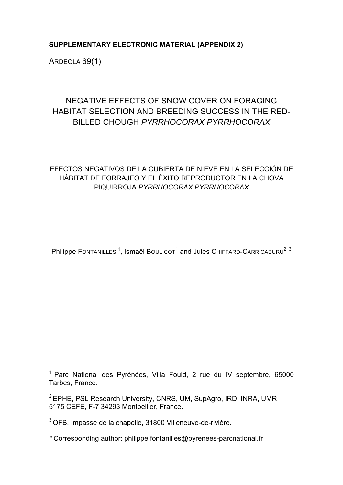# **SUPPLEMENTARY ELECTRONIC MATERIAL (APPENDIX 2)**

ARDEOLA 69(1)

# NEGATIVE EFFECTS OF SNOW COVER ON FORAGING HABITAT SELECTION AND BREEDING SUCCESS IN THE RED-BILLED CHOUGH *PYRRHOCORAX PYRRHOCORAX*

# EFECTOS NEGATIVOS DE LA CUBIERTA DE NIEVE EN LA SELECCIÓN DE HÁBITAT DE FORRAJEO Y EL ÉXITO REPRODUCTOR EN LA CHOVA PIQUIRROJA *PYRRHOCORAX PYRRHOCORAX*

Philippe Fontanilles <sup>1</sup>, Ismaël Boulicot<sup>1</sup> and Jules Chiffard-Carricaburu<sup>2, 3</sup>

<sup>1</sup> Parc National des Pyrénées, Villa Fould, 2 rue du IV septembre, 65000 Tarbes, France.

*<sup>2</sup>*EPHE, PSL Research University, CNRS, UM, SupAgro, IRD, INRA, UMR 5175 CEFE, F-7 34293 Montpellier, France.

<sup>3</sup> OFB, Impasse de la chapelle, 31800 Villeneuve-de-rivière.

*\** Corresponding author: philippe.fontanilles@pyrenees-parcnational.fr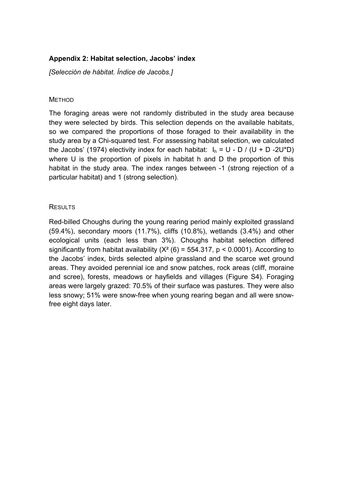## **Appendix 2: Habitat selection, Jacobs' index**

*[Selección de hábitat. Índice de Jacobs.]*

#### **METHOD**

The foraging areas were not randomly distributed in the study area because they were selected by birds. This selection depends on the available habitats, so we compared the proportions of those foraged to their availability in the study area by a Chi-squared test. For assessing habitat selection, we calculated the Jacobs' (1974) electivity index for each habitat:  $I_h = U - D / (U + D - 2U^*D)$ where U is the proportion of pixels in habitat h and D the proportion of this habitat in the study area. The index ranges between -1 (strong rejection of a particular habitat) and 1 (strong selection).

## **RESULTS**

Red-billed Choughs during the young rearing period mainly exploited grassland (59.4%), secondary moors (11.7%), cliffs (10.8%), wetlands (3.4%) and other ecological units (each less than 3%). Choughs habitat selection differed significantly from habitat availability  $(X^2 (6) = 554.317, p < 0.0001)$ . According to the Jacobs' index, birds selected alpine grassland and the scarce wet ground areas. They avoided perennial ice and snow patches, rock areas (cliff, moraine and scree), forests, meadows or hayfields and villages (Figure S4). Foraging areas were largely grazed: 70.5% of their surface was pastures. They were also less snowy; 51% were snow-free when young rearing began and all were snowfree eight days later.